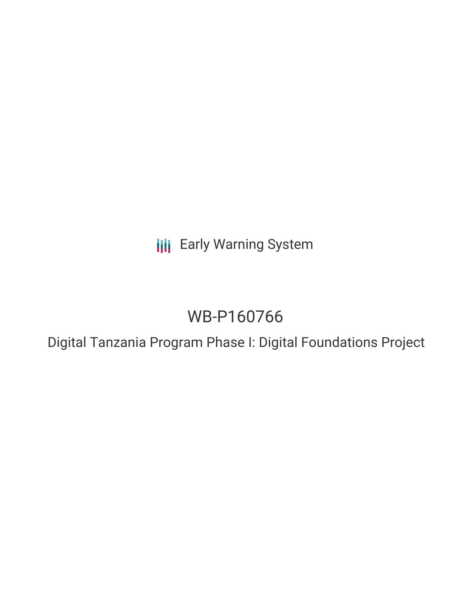**III** Early Warning System

# WB-P160766

Digital Tanzania Program Phase I: Digital Foundations Project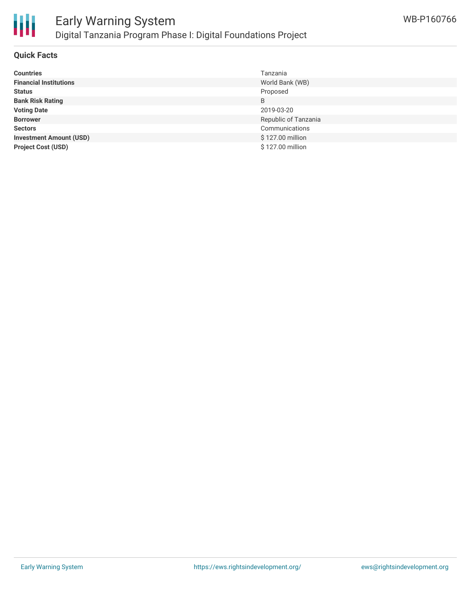

#### **Quick Facts**

| <b>Countries</b>               | Tanzania             |
|--------------------------------|----------------------|
| <b>Financial Institutions</b>  | World Bank (WB)      |
| <b>Status</b>                  | Proposed             |
| <b>Bank Risk Rating</b>        | B                    |
| <b>Voting Date</b>             | 2019-03-20           |
| <b>Borrower</b>                | Republic of Tanzania |
| <b>Sectors</b>                 | Communications       |
| <b>Investment Amount (USD)</b> | \$127.00 million     |
| <b>Project Cost (USD)</b>      | \$127.00 million     |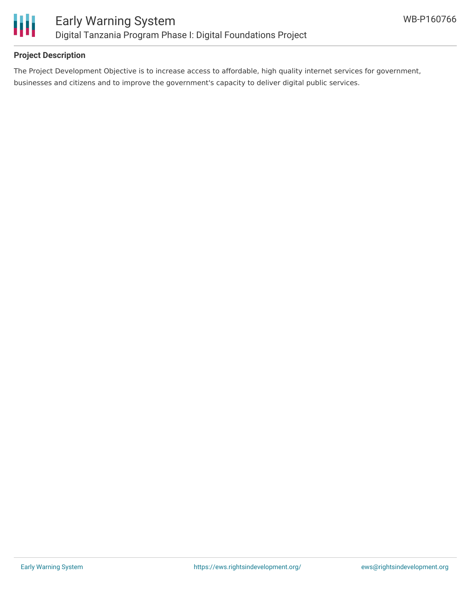

# **Project Description**

The Project Development Objective is to increase access to affordable, high quality internet services for government, businesses and citizens and to improve the government's capacity to deliver digital public services.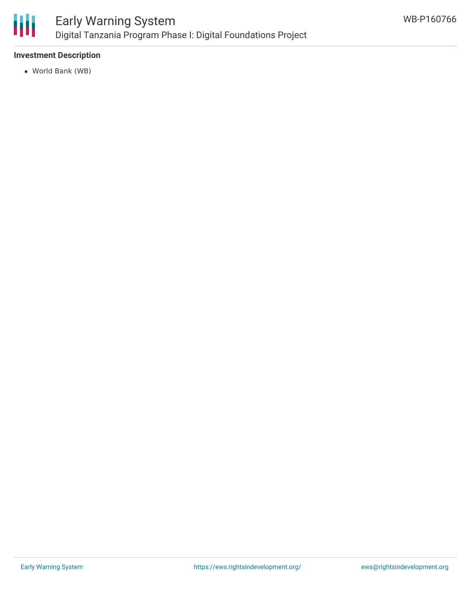

## **Investment Description**

World Bank (WB)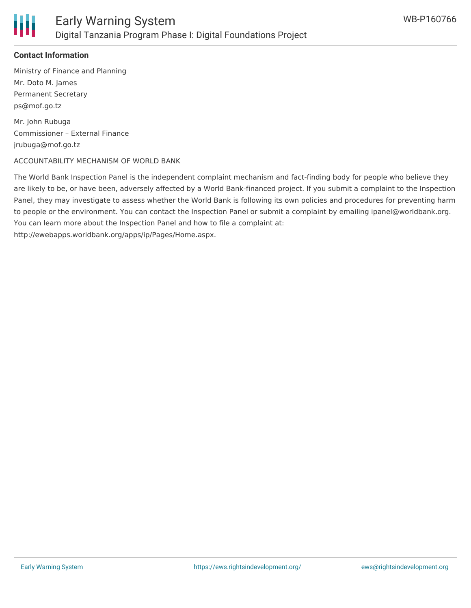

# **Contact Information**

Ministry of Finance and Planning Mr. Doto M. James Permanent Secretary ps@mof.go.tz

Mr. John Rubuga Commissioner – External Finance jrubuga@mof.go.tz

#### ACCOUNTABILITY MECHANISM OF WORLD BANK

The World Bank Inspection Panel is the independent complaint mechanism and fact-finding body for people who believe they are likely to be, or have been, adversely affected by a World Bank-financed project. If you submit a complaint to the Inspection Panel, they may investigate to assess whether the World Bank is following its own policies and procedures for preventing harm to people or the environment. You can contact the Inspection Panel or submit a complaint by emailing ipanel@worldbank.org. You can learn more about the Inspection Panel and how to file a complaint at: http://ewebapps.worldbank.org/apps/ip/Pages/Home.aspx.